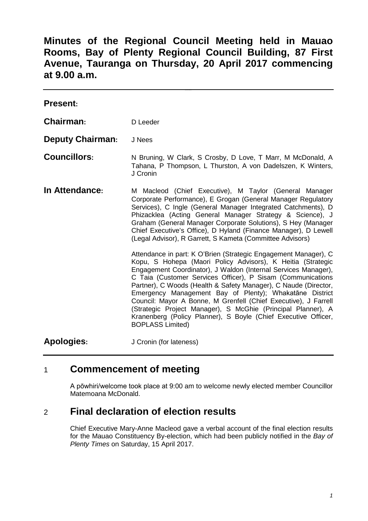**Minutes of the Regional Council Meeting held in Mauao Rooms, Bay of Plenty Regional Council Building, 87 First Avenue, Tauranga on Thursday, 20 April 2017 commencing at 9.00 a.m.**

| <b>Present:</b>         |                                                                                                                                                                                                                                                                                                                                                                                                                                                                                                                                                                                                                               |
|-------------------------|-------------------------------------------------------------------------------------------------------------------------------------------------------------------------------------------------------------------------------------------------------------------------------------------------------------------------------------------------------------------------------------------------------------------------------------------------------------------------------------------------------------------------------------------------------------------------------------------------------------------------------|
| Chairman:               | D Leeder                                                                                                                                                                                                                                                                                                                                                                                                                                                                                                                                                                                                                      |
| <b>Deputy Chairman:</b> | J Nees                                                                                                                                                                                                                                                                                                                                                                                                                                                                                                                                                                                                                        |
| <b>Councillors:</b>     | N Bruning, W Clark, S Crosby, D Love, T Marr, M McDonald, A<br>Tahana, P Thompson, L Thurston, A von Dadelszen, K Winters,<br>J Cronin                                                                                                                                                                                                                                                                                                                                                                                                                                                                                        |
| In Attendance:          | M Macleod (Chief Executive), M Taylor (General Manager<br>Corporate Performance), E Grogan (General Manager Regulatory<br>Services), C Ingle (General Manager Integrated Catchments), D<br>Phizacklea (Acting General Manager Strategy & Science), J<br>Graham (General Manager Corporate Solutions), S Hey (Manager<br>Chief Executive's Office), D Hyland (Finance Manager), D Lewell<br>(Legal Advisor), R Garrett, S Kameta (Committee Advisors)                                                                                                                                                                          |
|                         | Attendance in part: K O'Brien (Strategic Engagement Manager), C<br>Kopu, S Hohepa (Maori Policy Advisors), K Heitia (Strategic<br>Engagement Coordinator), J Waldon (Internal Services Manager),<br>C Taia (Customer Services Officer), P Sisam (Communications<br>Partner), C Woods (Health & Safety Manager), C Naude (Director,<br>Emergency Management Bay of Plenty); Whakatāne District<br>Council: Mayor A Bonne, M Grenfell (Chief Executive), J Farrell<br>(Strategic Project Manager), S McGhie (Principal Planner), A<br>Kranenberg (Policy Planner), S Boyle (Chief Executive Officer,<br><b>BOPLASS Limited)</b> |
| <b>Apologies:</b>       | J Cronin (for lateness)                                                                                                                                                                                                                                                                                                                                                                                                                                                                                                                                                                                                       |

# 1 **Commencement of meeting**

A pōwhiri/welcome took place at 9:00 am to welcome newly elected member Councillor Matemoana McDonald.

# 2 **Final declaration of election results**

Chief Executive Mary-Anne Macleod gave a verbal account of the final election results for the Mauao Constituency By-election, which had been publicly notified in the *Bay of Plenty Times* on Saturday, 15 April 2017.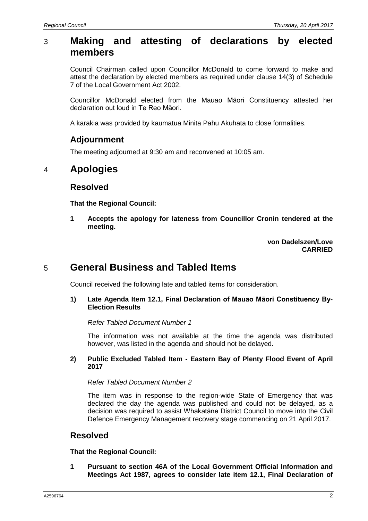# 3 **Making and attesting of declarations by elected members**

Council Chairman called upon Councillor McDonald to come forward to make and attest the declaration by elected members as required under clause 14(3) of Schedule 7 of the Local Government Act 2002.

Councillor McDonald elected from the Mauao Māori Constituency attested her declaration out loud in Te Reo Māori.

A karakia was provided by kaumatua Minita Pahu Akuhata to close formalities.

## **Adjournment**

The meeting adjourned at 9:30 am and reconvened at 10:05 am.

# 4 **Apologies**

#### **Resolved**

**That the Regional Council:**

**1 Accepts the apology for lateness from Councillor Cronin tendered at the meeting.**

> **von Dadelszen/Love CARRIED**

# 5 **General Business and Tabled Items**

Council received the following late and tabled items for consideration.

#### **1) Late Agenda Item 12.1, Final Declaration of Mauao Māori Constituency By-Election Results**

#### *Refer Tabled Document Number 1*

The information was not available at the time the agenda was distributed however, was listed in the agenda and should not be delayed.

#### **2) Public Excluded Tabled Item - Eastern Bay of Plenty Flood Event of April 2017**

*Refer Tabled Document Number 2*

The item was in response to the region-wide State of Emergency that was declared the day the agenda was published and could not be delayed, as a decision was required to assist Whakatāne District Council to move into the Civil Defence Emergency Management recovery stage commencing on 21 April 2017.

#### **Resolved**

**That the Regional Council:**

**1 Pursuant to section 46A of the Local Government Official Information and Meetings Act 1987, agrees to consider late item 12.1, Final Declaration of**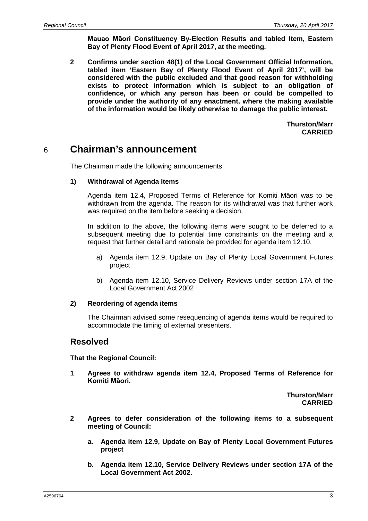**Mauao Māori Constituency By-Election Results and tabled Item, Eastern Bay of Plenty Flood Event of April 2017, at the meeting.**

**2 Confirms under section 48(1) of the Local Government Official Information, tabled item 'Eastern Bay of Plenty Flood Event of April 2017', will be considered with the public excluded and that good reason for withholding exists to protect information which is subject to an obligation of confidence, or which any person has been or could be compelled to provide under the authority of any enactment, where the making available of the information would be likely otherwise to damage the public interest.**

> **Thurston/Marr CARRIED**

# 6 **Chairman's announcement**

The Chairman made the following announcements:

#### **1) Withdrawal of Agenda Items**

Agenda item 12.4, Proposed Terms of Reference for Komiti Māori was to be withdrawn from the agenda. The reason for its withdrawal was that further work was required on the item before seeking a decision.

In addition to the above, the following items were sought to be deferred to a subsequent meeting due to potential time constraints on the meeting and a request that further detail and rationale be provided for agenda item 12.10.

- a) Agenda item 12.9, Update on Bay of Plenty Local Government Futures project
- b) Agenda item 12.10, Service Delivery Reviews under section 17A of the Local Government Act 2002

#### **2) Reordering of agenda items**

The Chairman advised some resequencing of agenda items would be required to accommodate the timing of external presenters.

#### **Resolved**

**That the Regional Council:**

**1 Agrees to withdraw agenda item 12.4, Proposed Terms of Reference for Komiti Māori.**

> **Thurston/Marr CARRIED**

- **2 Agrees to defer consideration of the following items to a subsequent meeting of Council:**
	- **a. Agenda item 12.9, Update on Bay of Plenty Local Government Futures project**
	- **b. Agenda item 12.10, Service Delivery Reviews under section 17A of the Local Government Act 2002.**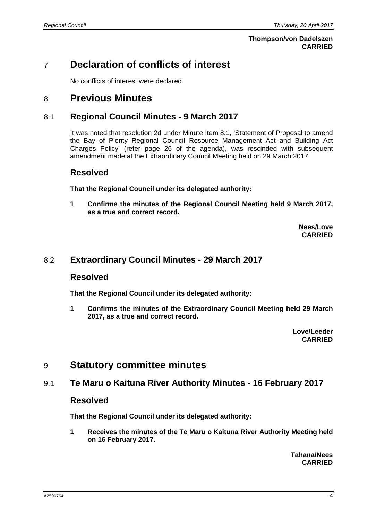#### **Thompson/von Dadelszen CARRIED**

# 7 **Declaration of conflicts of interest**

No conflicts of interest were declared.

# 8 **Previous Minutes**

### 8.1 **Regional Council Minutes - 9 March 2017**

It was noted that resolution 2d under Minute Item 8.1, 'Statement of Proposal to amend the Bay of Plenty Regional Council Resource Management Act and Building Act Charges Policy' (refer page 26 of the agenda), was rescinded with subsequent amendment made at the Extraordinary Council Meeting held on 29 March 2017.

#### **Resolved**

**That the Regional Council under its delegated authority:**

**1 Confirms the minutes of the Regional Council Meeting held 9 March 2017, as a true and correct record.**

> **Nees/Love CARRIED**

#### 8.2 **Extraordinary Council Minutes - 29 March 2017**

#### **Resolved**

**That the Regional Council under its delegated authority:**

**1 Confirms the minutes of the Extraordinary Council Meeting held 29 March 2017, as a true and correct record.**

> **Love/Leeder CARRIED**

## 9 **Statutory committee minutes**

#### 9.1 **Te Maru o Kaituna River Authority Minutes - 16 February 2017**

#### **Resolved**

**That the Regional Council under its delegated authority:**

**1 Receives the minutes of the Te Maru o Kaituna River Authority Meeting held on 16 February 2017.**

> **Tahana/Nees CARRIED**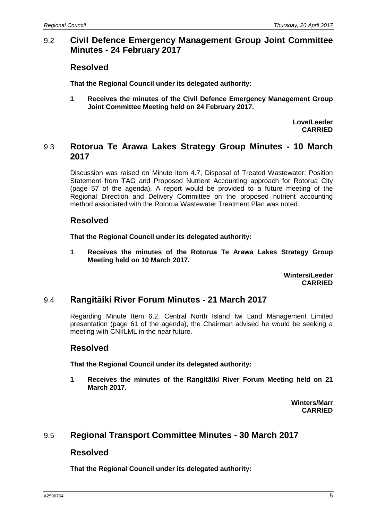## 9.2 **Civil Defence Emergency Management Group Joint Committee Minutes - 24 February 2017**

### **Resolved**

**That the Regional Council under its delegated authority:**

**1 Receives the minutes of the Civil Defence Emergency Management Group Joint Committee Meeting held on 24 February 2017.**

> **Love/Leeder CARRIED**

### 9.3 **Rotorua Te Arawa Lakes Strategy Group Minutes - 10 March 2017**

Discussion was raised on Minute item 4.7, Disposal of Treated Wastewater: Position Statement from TAG and Proposed Nutrient Accounting approach for Rotorua City (page 57 of the agenda). A report would be provided to a future meeting of the Regional Direction and Delivery Committee on the proposed nutrient accounting method associated with the Rotorua Wastewater Treatment Plan was noted.

## **Resolved**

**That the Regional Council under its delegated authority:**

**1 Receives the minutes of the Rotorua Te Arawa Lakes Strategy Group Meeting held on 10 March 2017.**

> **Winters/Leeder CARRIED**

## 9.4 **Rangitāiki River Forum Minutes - 21 March 2017**

Regarding Minute Item 6.2, Central North Island Iwi Land Management Limited presentation (page 61 of the agenda), the Chairman advised he would be seeking a meeting with CNIILML in the near future.

#### **Resolved**

**That the Regional Council under its delegated authority:**

**1 Receives the minutes of the Rangitāiki River Forum Meeting held on 21 March 2017.**

> **Winters/Marr CARRIED**

#### 9.5 **Regional Transport Committee Minutes - 30 March 2017**

#### **Resolved**

**That the Regional Council under its delegated authority:**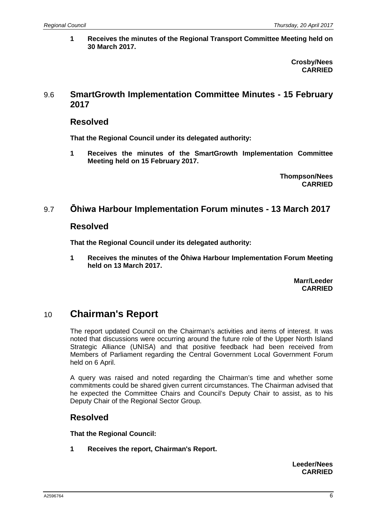**1 Receives the minutes of the Regional Transport Committee Meeting held on 30 March 2017.**

> **Crosby/Nees CARRIED**

### 9.6 **SmartGrowth Implementation Committee Minutes - 15 February 2017**

### **Resolved**

**That the Regional Council under its delegated authority:**

**1 Receives the minutes of the SmartGrowth Implementation Committee Meeting held on 15 February 2017.**

> **Thompson/Nees CARRIED**

## 9.7 **Ōhiwa Harbour Implementation Forum minutes - 13 March 2017**

#### **Resolved**

**That the Regional Council under its delegated authority:**

**1 Receives the minutes of the Ōhiwa Harbour Implementation Forum Meeting held on 13 March 2017.**

> **Marr/Leeder CARRIED**

# 10 **Chairman's Report**

The report updated Council on the Chairman's activities and items of interest. It was noted that discussions were occurring around the future role of the Upper North Island Strategic Alliance (UNISA) and that positive feedback had been received from Members of Parliament regarding the Central Government Local Government Forum held on 6 April.

A query was raised and noted regarding the Chairman's time and whether some commitments could be shared given current circumstances. The Chairman advised that he expected the Committee Chairs and Council's Deputy Chair to assist, as to his Deputy Chair of the Regional Sector Group.

## **Resolved**

**That the Regional Council:**

**1 Receives the report, Chairman's Report.**

**Leeder/Nees CARRIED**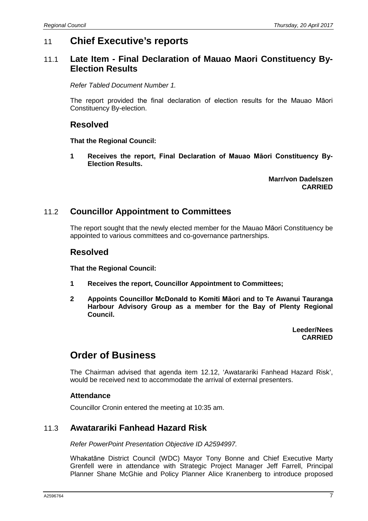# 11 **Chief Executive's reports**

## 11.1 **Late Item - Final Declaration of Mauao Maori Constituency By-Election Results**

*Refer Tabled Document Number 1.*

The report provided the final declaration of election results for the Mauao Māori Constituency By-election.

### **Resolved**

**That the Regional Council:**

**1 Receives the report, Final Declaration of Mauao Māori Constituency By-Election Results.**

> **Marr/von Dadelszen CARRIED**

## 11.2 **Councillor Appointment to Committees**

The report sought that the newly elected member for the Mauao Māori Constituency be appointed to various committees and co-governance partnerships.

### **Resolved**

**That the Regional Council:**

- **1 Receives the report, Councillor Appointment to Committees;**
- **2 Appoints Councillor McDonald to Komiti Māori and to Te Awanui Tauranga Harbour Advisory Group as a member for the Bay of Plenty Regional Council.**

**Leeder/Nees CARRIED**

# **Order of Business**

The Chairman advised that agenda item 12.12, 'Awatarariki Fanhead Hazard Risk', would be received next to accommodate the arrival of external presenters.

#### **Attendance**

Councillor Cronin entered the meeting at 10:35 am.

#### 11.3 **Awatarariki Fanhead Hazard Risk**

*Refer PowerPoint Presentation Objective ID A2594997.*

Whakatāne District Council (WDC) Mayor Tony Bonne and Chief Executive Marty Grenfell were in attendance with Strategic Project Manager Jeff Farrell, Principal Planner Shane McGhie and Policy Planner Alice Kranenberg to introduce proposed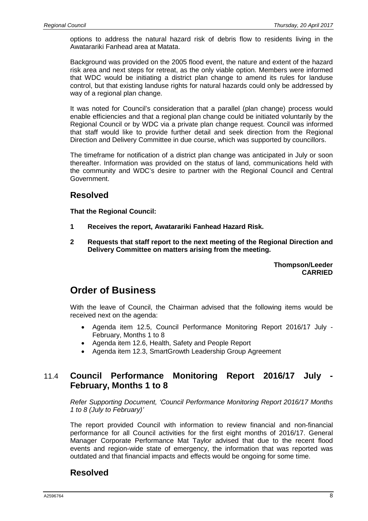options to address the natural hazard risk of debris flow to residents living in the Awatarariki Fanhead area at Matata.

Background was provided on the 2005 flood event, the nature and extent of the hazard risk area and next steps for retreat, as the only viable option. Members were informed that WDC would be initiating a district plan change to amend its rules for landuse control, but that existing landuse rights for natural hazards could only be addressed by way of a regional plan change.

It was noted for Council's consideration that a parallel (plan change) process would enable efficiencies and that a regional plan change could be initiated voluntarily by the Regional Council or by WDC via a private plan change request. Council was informed that staff would like to provide further detail and seek direction from the Regional Direction and Delivery Committee in due course, which was supported by councillors.

The timeframe for notification of a district plan change was anticipated in July or soon thereafter. Information was provided on the status of land, communications held with the community and WDC's desire to partner with the Regional Council and Central Government.

## **Resolved**

**That the Regional Council:**

- **1 Receives the report, Awatarariki Fanhead Hazard Risk.**
- **2 Requests that staff report to the next meeting of the Regional Direction and Delivery Committee on matters arising from the meeting.**

**Thompson/Leeder CARRIED**

# **Order of Business**

With the leave of Council, the Chairman advised that the following items would be received next on the agenda:

- Agenda item 12.5, Council Performance Monitoring Report 2016/17 July February, Months 1 to 8
- Agenda item 12.6, Health, Safety and People Report
- Agenda item 12.3, SmartGrowth Leadership Group Agreement

## 11.4 **Council Performance Monitoring Report 2016/17 July - February, Months 1 to 8**

*Refer Supporting Document, 'Council Performance Monitoring Report 2016/17 Months 1 to 8 (July to February)'*

The report provided Council with information to review financial and non-financial performance for all Council activities for the first eight months of 2016/17. General Manager Corporate Performance Mat Taylor advised that due to the recent flood events and region-wide state of emergency, the information that was reported was outdated and that financial impacts and effects would be ongoing for some time.

## **Resolved**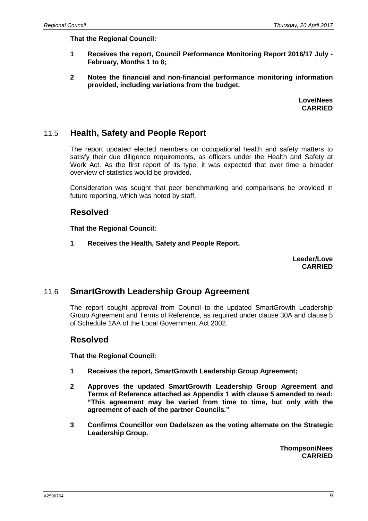**That the Regional Council:**

- **1 Receives the report, Council Performance Monitoring Report 2016/17 July - February, Months 1 to 8;**
- **2 Notes the financial and non-financial performance monitoring information provided, including variations from the budget.**

**Love/Nees CARRIED**

## 11.5 **Health, Safety and People Report**

The report updated elected members on occupational health and safety matters to satisfy their due diligence requirements, as officers under the Health and Safety at Work Act. As the first report of its type, it was expected that over time a broader overview of statistics would be provided.

Consideration was sought that peer benchmarking and comparisons be provided in future reporting, which was noted by staff.

#### **Resolved**

**That the Regional Council:**

**1 Receives the Health, Safety and People Report.**

**Leeder/Love CARRIED**

#### 11.6 **SmartGrowth Leadership Group Agreement**

The report sought approval from Council to the updated SmartGrowth Leadership Group Agreement and Terms of Reference, as required under clause 30A and clause 5 of Schedule 1AA of the Local Government Act 2002.

#### **Resolved**

**That the Regional Council:**

- **1 Receives the report, SmartGrowth Leadership Group Agreement;**
- **2 Approves the updated SmartGrowth Leadership Group Agreement and Terms of Reference attached as Appendix 1 with clause 5 amended to read: "This agreement may be varied from time to time, but only with the agreement of each of the partner Councils."**
- **3 Confirms Councillor von Dadelszen as the voting alternate on the Strategic Leadership Group.**

**Thompson/Nees CARRIED**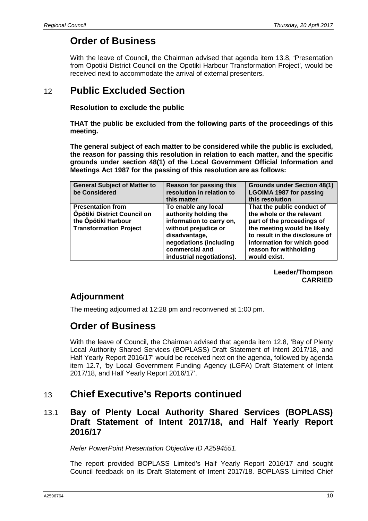# **Order of Business**

With the leave of Council, the Chairman advised that agenda item 13.8, 'Presentation from Opotiki District Council on the Opotiki Harbour Transformation Project', would be received next to accommodate the arrival of external presenters.

# 12 **Public Excluded Section**

#### **Resolution to exclude the public**

**THAT the public be excluded from the following parts of the proceedings of this meeting.**

**The general subject of each matter to be considered while the public is excluded, the reason for passing this resolution in relation to each matter, and the specific grounds under section 48(1) of the Local Government Official Information and Meetings Act 1987 for the passing of this resolution are as follows:**

| <b>General Subject of Matter to</b><br>be Considered                                                            | Reason for passing this<br>resolution in relation to<br>this matter                                                                                                                         | <b>Grounds under Section 48(1)</b><br><b>LGOIMA 1987 for passing</b><br>this resolution                                                                                                                                        |
|-----------------------------------------------------------------------------------------------------------------|---------------------------------------------------------------------------------------------------------------------------------------------------------------------------------------------|--------------------------------------------------------------------------------------------------------------------------------------------------------------------------------------------------------------------------------|
| <b>Presentation from</b><br>Öpōtiki District Council on<br>the Opotiki Harbour<br><b>Transformation Project</b> | To enable any local<br>authority holding the<br>information to carry on,<br>without prejudice or<br>disadvantage,<br>negotiations (including<br>commercial and<br>industrial negotiations). | That the public conduct of<br>the whole or the relevant<br>part of the proceedings of<br>the meeting would be likely<br>to result in the disclosure of<br>information for which good<br>reason for withholding<br>would exist. |

**Leeder/Thompson CARRIED**

## **Adjournment**

The meeting adjourned at 12:28 pm and reconvened at 1:00 pm.

# **Order of Business**

With the leave of Council, the Chairman advised that agenda item 12.8, 'Bay of Plenty Local Authority Shared Services (BOPLASS) Draft Statement of Intent 2017/18, and Half Yearly Report 2016/17' would be received next on the agenda, followed by agenda item 12.7, 'by Local Government Funding Agency (LGFA) Draft Statement of Intent 2017/18, and Half Yearly Report 2016/17'.

# 13 **Chief Executive's Reports continued**

## 13.1 **Bay of Plenty Local Authority Shared Services (BOPLASS) Draft Statement of Intent 2017/18, and Half Yearly Report 2016/17**

*Refer PowerPoint Presentation Objective ID A2594551.*

The report provided BOPLASS Limited's Half Yearly Report 2016/17 and sought Council feedback on its Draft Statement of Intent 2017/18. BOPLASS Limited Chief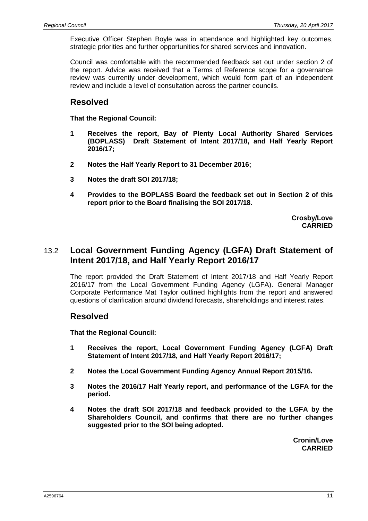Executive Officer Stephen Boyle was in attendance and highlighted key outcomes, strategic priorities and further opportunities for shared services and innovation.

Council was comfortable with the recommended feedback set out under section 2 of the report. Advice was received that a Terms of Reference scope for a governance review was currently under development, which would form part of an independent review and include a level of consultation across the partner councils.

## **Resolved**

**That the Regional Council:**

- **1 Receives the report, Bay of Plenty Local Authority Shared Services (BOPLASS) Draft Statement of Intent 2017/18, and Half Yearly Report 2016/17;**
- **2 Notes the Half Yearly Report to 31 December 2016;**
- **3 Notes the draft SOI 2017/18;**
- **4 Provides to the BOPLASS Board the feedback set out in Section 2 of this report prior to the Board finalising the SOI 2017/18.**

**Crosby/Love CARRIED**

## 13.2 **Local Government Funding Agency (LGFA) Draft Statement of Intent 2017/18, and Half Yearly Report 2016/17**

The report provided the Draft Statement of Intent 2017/18 and Half Yearly Report 2016/17 from the Local Government Funding Agency (LGFA). General Manager Corporate Performance Mat Taylor outlined highlights from the report and answered questions of clarification around dividend forecasts, shareholdings and interest rates.

## **Resolved**

**That the Regional Council:**

- **1 Receives the report, Local Government Funding Agency (LGFA) Draft Statement of Intent 2017/18, and Half Yearly Report 2016/17;**
- **2 Notes the Local Government Funding Agency Annual Report 2015/16.**
- **3 Notes the 2016/17 Half Yearly report, and performance of the LGFA for the period.**
- **4 Notes the draft SOI 2017/18 and feedback provided to the LGFA by the Shareholders Council, and confirms that there are no further changes suggested prior to the SOI being adopted.**

**Cronin/Love CARRIED**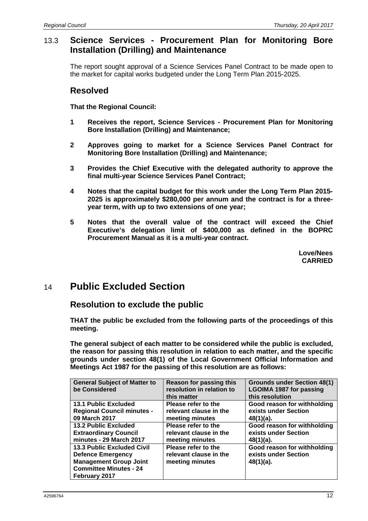## 13.3 **Science Services - Procurement Plan for Monitoring Bore Installation (Drilling) and Maintenance**

The report sought approval of a Science Services Panel Contract to be made open to the market for capital works budgeted under the Long Term Plan 2015-2025.

### **Resolved**

**That the Regional Council:**

- **1 Receives the report, Science Services - Procurement Plan for Monitoring Bore Installation (Drilling) and Maintenance;**
- **2 Approves going to market for a Science Services Panel Contract for Monitoring Bore Installation (Drilling) and Maintenance;**
- **3 Provides the Chief Executive with the delegated authority to approve the final multi-year Science Services Panel Contract;**
- **4 Notes that the capital budget for this work under the Long Term Plan 2015- 2025 is approximately \$280,000 per annum and the contract is for a threeyear term, with up to two extensions of one year;**
- **5 Notes that the overall value of the contract will exceed the Chief Executive's delegation limit of \$400,000 as defined in the BOPRC Procurement Manual as it is a multi-year contract.**

**Love/Nees CARRIED**

# 14 **Public Excluded Section**

## **Resolution to exclude the public**

**THAT the public be excluded from the following parts of the proceedings of this meeting.**

**The general subject of each matter to be considered while the public is excluded, the reason for passing this resolution in relation to each matter, and the specific grounds under section 48(1) of the Local Government Official Information and Meetings Act 1987 for the passing of this resolution are as follows:**

| <b>General Subject of Matter to</b><br>be Considered                                                                                             | Reason for passing this<br>resolution in relation to<br>this matter | <b>Grounds under Section 48(1)</b><br><b>LGOIMA 1987 for passing</b><br>this resolution |
|--------------------------------------------------------------------------------------------------------------------------------------------------|---------------------------------------------------------------------|-----------------------------------------------------------------------------------------|
| <b>13.1 Public Excluded</b>                                                                                                                      | Please refer to the                                                 | Good reason for withholding                                                             |
| <b>Regional Council minutes -</b>                                                                                                                | relevant clause in the                                              | exists under Section                                                                    |
| 09 March 2017                                                                                                                                    | meeting minutes                                                     | $48(1)(a)$ .                                                                            |
| <b>13.2 Public Excluded</b>                                                                                                                      | Please refer to the                                                 | Good reason for withholding                                                             |
| <b>Extraordinary Council</b>                                                                                                                     | relevant clause in the                                              | exists under Section                                                                    |
| minutes - 29 March 2017                                                                                                                          | meeting minutes                                                     | $48(1)(a)$ .                                                                            |
| <b>13.3 Public Excluded Civil</b><br><b>Defence Emergency</b><br><b>Management Group Joint</b><br><b>Committee Minutes - 24</b><br>February 2017 | Please refer to the<br>relevant clause in the<br>meeting minutes    | Good reason for withholding<br>exists under Section<br>48(1)(a).                        |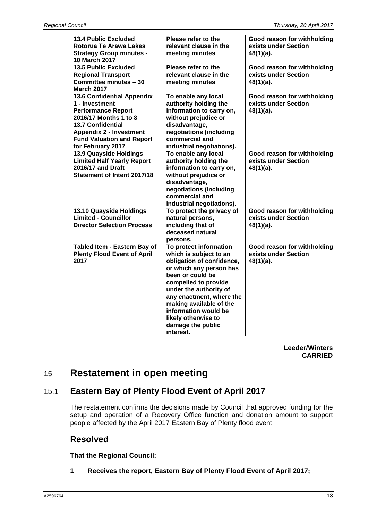| <b>13.4 Public Excluded</b><br><b>Rotorua Te Arawa Lakes</b><br><b>Strategy Group minutes -</b> | Please refer to the<br>relevant clause in the<br>meeting minutes | Good reason for withholding<br>exists under Section<br>$48(1)(a)$ . |
|-------------------------------------------------------------------------------------------------|------------------------------------------------------------------|---------------------------------------------------------------------|
| 10 March 2017                                                                                   |                                                                  |                                                                     |
| <b>13.5 Public Excluded</b>                                                                     | Please refer to the                                              | Good reason for withholding                                         |
| <b>Regional Transport</b>                                                                       | relevant clause in the                                           | exists under Section                                                |
| Committee minutes - 30                                                                          | meeting minutes                                                  | $48(1)(a)$ .                                                        |
| <b>March 2017</b>                                                                               |                                                                  |                                                                     |
| 13.6 Confidential Appendix                                                                      | To enable any local                                              | Good reason for withholding                                         |
| 1 - Investment                                                                                  | authority holding the                                            | exists under Section                                                |
| <b>Performance Report</b>                                                                       | information to carry on,                                         | $48(1)(a)$ .                                                        |
| 2016/17 Months 1 to 8                                                                           | without prejudice or                                             |                                                                     |
| <b>13.7 Confidential</b>                                                                        | disadvantage,                                                    |                                                                     |
| <b>Appendix 2 - Investment</b>                                                                  | negotiations (including                                          |                                                                     |
| <b>Fund Valuation and Report</b>                                                                | commercial and                                                   |                                                                     |
| for February 2017                                                                               | industrial negotiations).                                        |                                                                     |
| 13.9 Quayside Holdings                                                                          | To enable any local                                              | Good reason for withholding                                         |
| <b>Limited Half Yearly Report</b>                                                               | authority holding the                                            | exists under Section                                                |
| 2016/17 and Draft                                                                               | information to carry on,                                         | 48(1)(a).                                                           |
| <b>Statement of Intent 2017/18</b>                                                              | without prejudice or                                             |                                                                     |
|                                                                                                 | disadvantage,                                                    |                                                                     |
|                                                                                                 | negotiations (including                                          |                                                                     |
|                                                                                                 | commercial and                                                   |                                                                     |
|                                                                                                 | industrial negotiations).                                        |                                                                     |
| 13.10 Quayside Holdings                                                                         | To protect the privacy of                                        | Good reason for withholding                                         |
| <b>Limited - Councillor</b>                                                                     | natural persons,                                                 | exists under Section                                                |
| <b>Director Selection Process</b>                                                               | including that of                                                | 48(1)(a).                                                           |
|                                                                                                 | deceased natural                                                 |                                                                     |
|                                                                                                 | persons.                                                         |                                                                     |
| Tabled Item - Eastern Bay of                                                                    | To protect information                                           | Good reason for withholding                                         |
| <b>Plenty Flood Event of April</b>                                                              | which is subject to an                                           | exists under Section                                                |
| 2017                                                                                            | obligation of confidence,                                        | 48(1)(a).                                                           |
|                                                                                                 | or which any person has                                          |                                                                     |
|                                                                                                 | been or could be                                                 |                                                                     |
|                                                                                                 | compelled to provide                                             |                                                                     |
|                                                                                                 | under the authority of                                           |                                                                     |
|                                                                                                 | any enactment, where the<br>making available of the              |                                                                     |
|                                                                                                 | information would be                                             |                                                                     |
|                                                                                                 | likely otherwise to                                              |                                                                     |
|                                                                                                 | damage the public                                                |                                                                     |
|                                                                                                 | interest.                                                        |                                                                     |
|                                                                                                 |                                                                  |                                                                     |

**Leeder/Winters CARRIED**

# 15 **Restatement in open meeting**

## 15.1 **Eastern Bay of Plenty Flood Event of April 2017**

The restatement confirms the decisions made by Council that approved funding for the setup and operation of a Recovery Office function and donation amount to support people affected by the April 2017 Eastern Bay of Plenty flood event.

## **Resolved**

**That the Regional Council:**

**1 Receives the report, Eastern Bay of Plenty Flood Event of April 2017;**